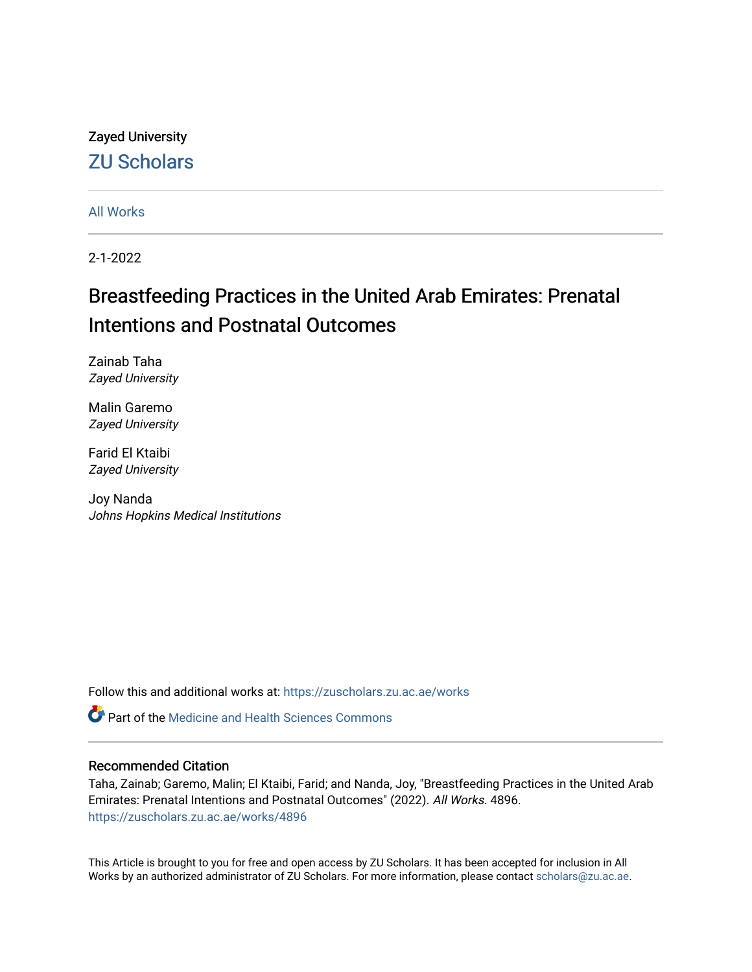## Zayed University [ZU Scholars](https://zuscholars.zu.ac.ae/)

[All Works](https://zuscholars.zu.ac.ae/works)

2-1-2022

# Breastfeeding Practices in the United Arab Emirates: Prenatal Intentions and Postnatal Outcomes

Zainab Taha Zayed University

Malin Garemo Zayed University

Farid El Ktaibi Zayed University

Joy Nanda Johns Hopkins Medical Institutions

Follow this and additional works at: [https://zuscholars.zu.ac.ae/works](https://zuscholars.zu.ac.ae/works?utm_source=zuscholars.zu.ac.ae%2Fworks%2F4896&utm_medium=PDF&utm_campaign=PDFCoverPages)

**C** Part of the Medicine and Health Sciences Commons

## Recommended Citation

Taha, Zainab; Garemo, Malin; El Ktaibi, Farid; and Nanda, Joy, "Breastfeeding Practices in the United Arab Emirates: Prenatal Intentions and Postnatal Outcomes" (2022). All Works. 4896. [https://zuscholars.zu.ac.ae/works/4896](https://zuscholars.zu.ac.ae/works/4896?utm_source=zuscholars.zu.ac.ae%2Fworks%2F4896&utm_medium=PDF&utm_campaign=PDFCoverPages)

This Article is brought to you for free and open access by ZU Scholars. It has been accepted for inclusion in All Works by an authorized administrator of ZU Scholars. For more information, please contact [scholars@zu.ac.ae](mailto:scholars@zu.ac.ae).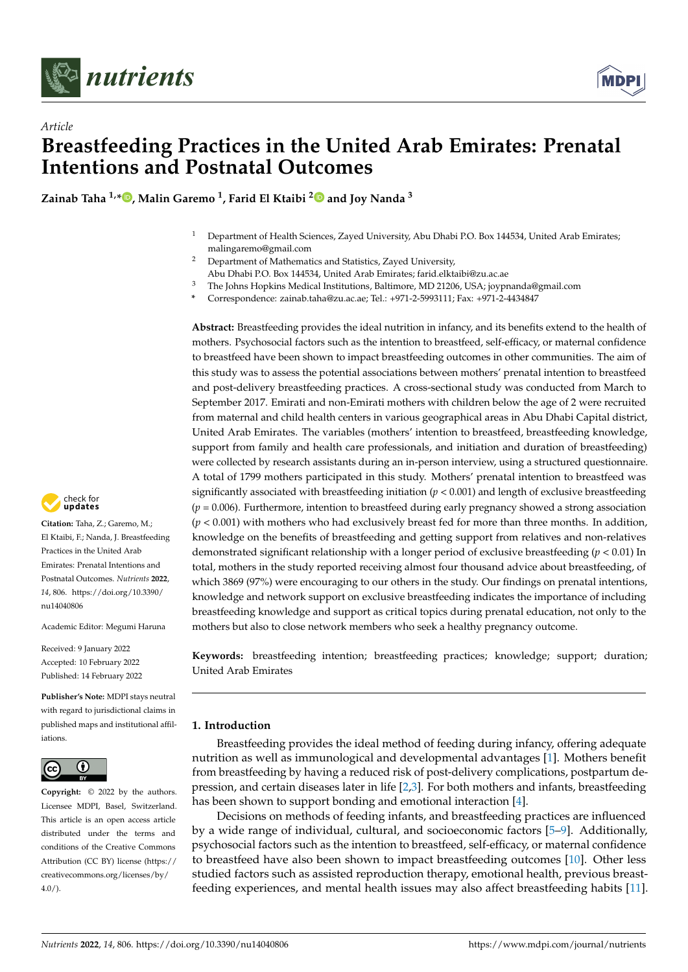

*Article*



## **Breastfeeding Practices in the United Arab Emirates: Prenatal Intentions and Postnatal Outcomes**

**Zainab Taha 1,[\\*](https://orcid.org/0000-0002-3915-3755) , Malin Garemo <sup>1</sup> , Farid El Ktaibi [2](https://orcid.org/0000-0002-2488-5224) and Joy Nanda <sup>3</sup>**

- <sup>1</sup> Department of Health Sciences, Zayed University, Abu Dhabi P.O. Box 144534, United Arab Emirates; malingaremo@gmail.com
- <sup>2</sup> Department of Mathematics and Statistics, Zayed University,
- Abu Dhabi P.O. Box 144534, United Arab Emirates; farid.elktaibi@zu.ac.ae
- <sup>3</sup> The Johns Hopkins Medical Institutions, Baltimore, MD 21206, USA; joypnanda@gmail.com
- **\*** Correspondence: zainab.taha@zu.ac.ae; Tel.: +971-2-5993111; Fax: +971-2-4434847

**Abstract:** Breastfeeding provides the ideal nutrition in infancy, and its benefits extend to the health of mothers. Psychosocial factors such as the intention to breastfeed, self-efficacy, or maternal confidence to breastfeed have been shown to impact breastfeeding outcomes in other communities. The aim of this study was to assess the potential associations between mothers' prenatal intention to breastfeed and post-delivery breastfeeding practices. A cross-sectional study was conducted from March to September 2017. Emirati and non-Emirati mothers with children below the age of 2 were recruited from maternal and child health centers in various geographical areas in Abu Dhabi Capital district, United Arab Emirates. The variables (mothers' intention to breastfeed, breastfeeding knowledge, support from family and health care professionals, and initiation and duration of breastfeeding) were collected by research assistants during an in-person interview, using a structured questionnaire. A total of 1799 mothers participated in this study. Mothers' prenatal intention to breastfeed was significantly associated with breastfeeding initiation (*p* < 0.001) and length of exclusive breastfeeding  $(p = 0.006)$ . Furthermore, intention to breastfeed during early pregnancy showed a strong association  $(p < 0.001)$  with mothers who had exclusively breast fed for more than three months. In addition, knowledge on the benefits of breastfeeding and getting support from relatives and non-relatives demonstrated significant relationship with a longer period of exclusive breastfeeding (*p* < 0.01) In total, mothers in the study reported receiving almost four thousand advice about breastfeeding, of which 3869 (97%) were encouraging to our others in the study. Our findings on prenatal intentions, knowledge and network support on exclusive breastfeeding indicates the importance of including breastfeeding knowledge and support as critical topics during prenatal education, not only to the mothers but also to close network members who seek a healthy pregnancy outcome.

**Keywords:** breastfeeding intention; breastfeeding practices; knowledge; support; duration; United Arab Emirates

## **1. Introduction**

Breastfeeding provides the ideal method of feeding during infancy, offering adequate nutrition as well as immunological and developmental advantages [\[1\]](#page-9-0). Mothers benefit from breastfeeding by having a reduced risk of post-delivery complications, postpartum depression, and certain diseases later in life [\[2,](#page-9-1)[3\]](#page-9-2). For both mothers and infants, breastfeeding has been shown to support bonding and emotional interaction [\[4\]](#page-9-3).

Decisions on methods of feeding infants, and breastfeeding practices are influenced by a wide range of individual, cultural, and socioeconomic factors [\[5](#page-9-4)[–9\]](#page-9-5). Additionally, psychosocial factors such as the intention to breastfeed, self-efficacy, or maternal confidence to breastfeed have also been shown to impact breastfeeding outcomes [\[10\]](#page-9-6). Other less studied factors such as assisted reproduction therapy, emotional health, previous breastfeeding experiences, and mental health issues may also affect breastfeeding habits [\[11\]](#page-9-7).



**Citation:** Taha, Z.; Garemo, M.; El Ktaibi, F.; Nanda, J. Breastfeeding Practices in the United Arab Emirates: Prenatal Intentions and Postnatal Outcomes. *Nutrients* **2022**, *14*, 806. [https://doi.org/10.3390/](https://doi.org/10.3390/nu14040806) [nu14040806](https://doi.org/10.3390/nu14040806)

Academic Editor: Megumi Haruna

Received: 9 January 2022 Accepted: 10 February 2022 Published: 14 February 2022

**Publisher's Note:** MDPI stays neutral with regard to jurisdictional claims in published maps and institutional affiliations.



**Copyright:** © 2022 by the authors. Licensee MDPI, Basel, Switzerland. This article is an open access article distributed under the terms and conditions of the Creative Commons Attribution (CC BY) license [\(https://](https://creativecommons.org/licenses/by/4.0/) [creativecommons.org/licenses/by/](https://creativecommons.org/licenses/by/4.0/)  $4.0/$ ).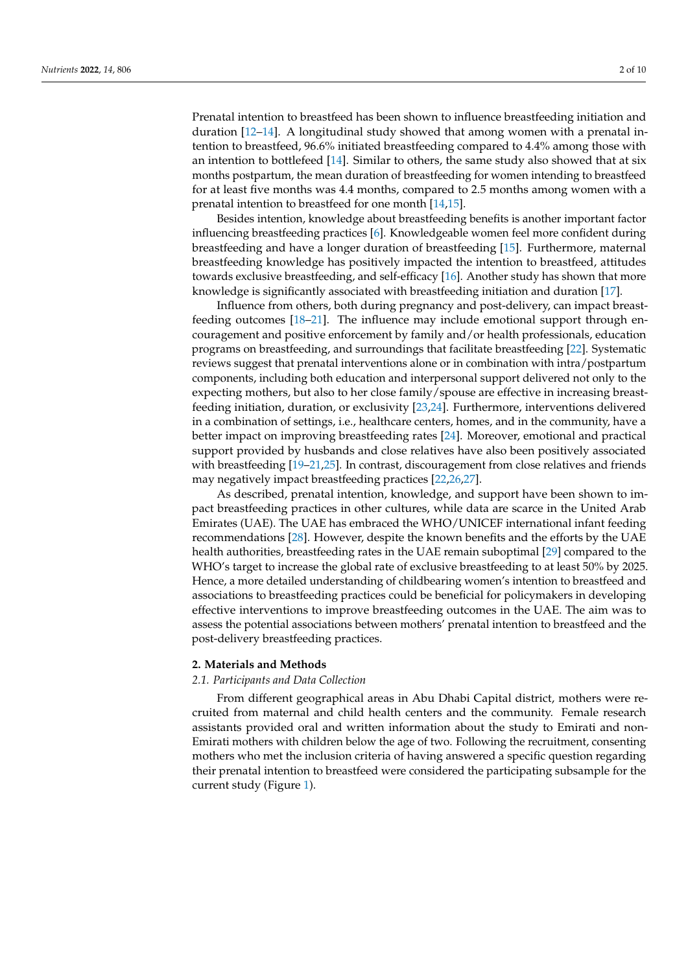Prenatal intention to breastfeed has been shown to influence breastfeeding initiation and duration [\[12](#page-9-8)[–14\]](#page-9-9). A longitudinal study showed that among women with a prenatal intention to breastfeed, 96.6% initiated breastfeeding compared to 4.4% among those with an intention to bottlefeed [\[14\]](#page-9-9). Similar to others, the same study also showed that at six months postpartum, the mean duration of breastfeeding for women intending to breastfeed for at least five months was 4.4 months, compared to 2.5 months among women with a prenatal intention to breastfeed for one month [\[14,](#page-9-9)[15\]](#page-9-10).

Besides intention, knowledge about breastfeeding benefits is another important factor influencing breastfeeding practices [\[6\]](#page-9-11). Knowledgeable women feel more confident during breastfeeding and have a longer duration of breastfeeding [\[15\]](#page-9-10). Furthermore, maternal breastfeeding knowledge has positively impacted the intention to breastfeed, attitudes towards exclusive breastfeeding, and self-efficacy [\[16\]](#page-9-12). Another study has shown that more knowledge is significantly associated with breastfeeding initiation and duration [\[17\]](#page-9-13).

Influence from others, both during pregnancy and post-delivery, can impact breastfeeding outcomes [\[18](#page-9-14)[–21\]](#page-10-0). The influence may include emotional support through encouragement and positive enforcement by family and/or health professionals, education programs on breastfeeding, and surroundings that facilitate breastfeeding [\[22\]](#page-10-1). Systematic reviews suggest that prenatal interventions alone or in combination with intra/postpartum components, including both education and interpersonal support delivered not only to the expecting mothers, but also to her close family/spouse are effective in increasing breastfeeding initiation, duration, or exclusivity [\[23,](#page-10-2)[24\]](#page-10-3). Furthermore, interventions delivered in a combination of settings, i.e., healthcare centers, homes, and in the community, have a better impact on improving breastfeeding rates [\[24\]](#page-10-3). Moreover, emotional and practical support provided by husbands and close relatives have also been positively associated with breastfeeding [\[19–](#page-9-15)[21](#page-10-0)[,25\]](#page-10-4). In contrast, discouragement from close relatives and friends may negatively impact breastfeeding practices [\[22](#page-10-1)[,26](#page-10-5)[,27\]](#page-10-6).

As described, prenatal intention, knowledge, and support have been shown to impact breastfeeding practices in other cultures, while data are scarce in the United Arab Emirates (UAE). The UAE has embraced the WHO/UNICEF international infant feeding recommendations [\[28\]](#page-10-7). However, despite the known benefits and the efforts by the UAE health authorities, breastfeeding rates in the UAE remain suboptimal [\[29\]](#page-10-8) compared to the WHO's target to increase the global rate of exclusive breastfeeding to at least 50% by 2025. Hence, a more detailed understanding of childbearing women's intention to breastfeed and associations to breastfeeding practices could be beneficial for policymakers in developing effective interventions to improve breastfeeding outcomes in the UAE. The aim was to assess the potential associations between mothers' prenatal intention to breastfeed and the post-delivery breastfeeding practices.

### **2. Materials and Methods**

#### *2.1. Participants and Data Collection*

From different geographical areas in Abu Dhabi Capital district, mothers were recruited from maternal and child health centers and the community. Female research assistants provided oral and written information about the study to Emirati and non-Emirati mothers with children below the age of two. Following the recruitment, consenting mothers who met the inclusion criteria of having answered a specific question regarding their prenatal intention to breastfeed were considered the participating subsample for the current study (Figure [1\)](#page-3-0).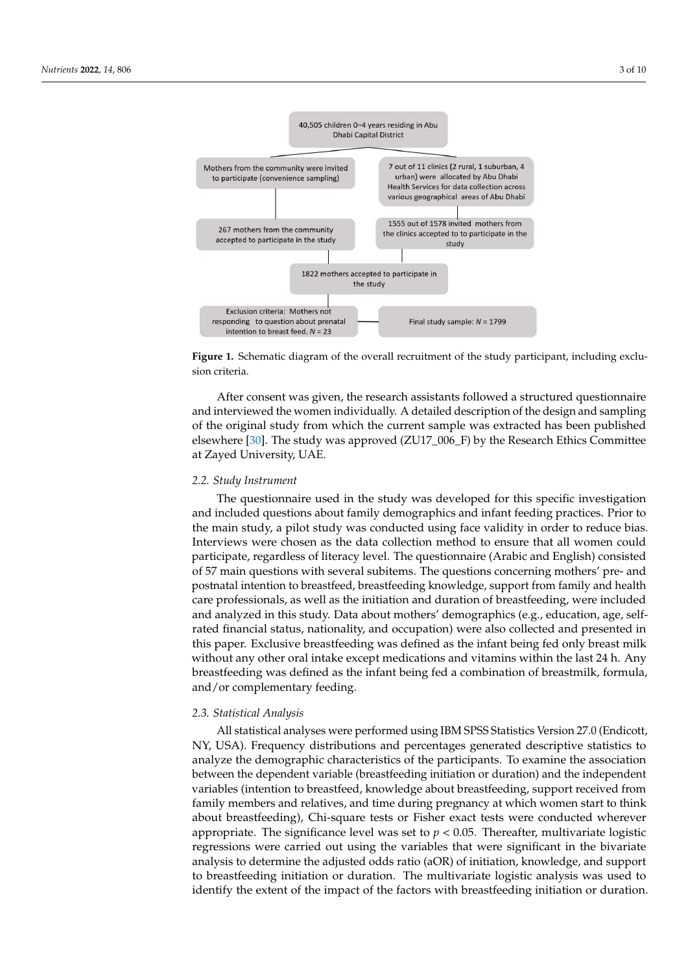<span id="page-3-0"></span>

Figure 1. Schematic diagram of the overall recruitment of the study participant, including exclusion **Figure 1.** Schematic diagram of the overall recruitment of the study participant, including exclusion criteria.

After consent was given, the research assistants followed a structured questionnaire of the original study from which the current sample was extracted has been published elsewhere [30]. The study was approved (ZU17\_006\_F) by the Research Ethics Committee at Zayed University, UAE. The infant feeding practices and infant feeding property. Prior to the state of the  $\alpha$ and interviewed the women individually. A detailed description of the design and sampling

## views were chosen as the data collection method to ensure that all women could partici-*2.2. Study Instrument*

The questionnaire used in the study was developed for this specific investigation and included questions about family demographics and infant feeding practices. Prior to the main study, a pilot study was conducted using face validity in order to reduce bias. Interviews were chosen as the data collection method to ensure that all women could participate, regardless of literacy level. The questionnaire (Arabic and English) consisted of 57 main questions with several subitems. The questions concerning mothers' pre- and postnatal intention to breastfeed, breastfeeding knowledge, support from family and health care professionals, as well as the initiation and duration of breastfeeding, were included and analyzed in this study. Data about mothers' demographics (e.g., education, age, selfrated financial status, nationality, and occupation) were also collected and presented in without any other oral intake except medications and vitamins within the last 24 h. Any breastfeeding was defined as the infant being fed a combination of breastmilk, formula, and/or complementary feeding. this paper. Exclusive breastfeeding was defined as the infant being fed only breast milk

## mographic characteristics of the participants. To examine the association between the de-*2.3. Statistical Analysis*

pendent variable (breastfeeding initiation or duration) and the independent variables (in-All statistical analyses were performed using IBM SPSS Statistics Version 27.0 (Endicott,<br>NPC USA), Fermine membership with the central analysis of analysis of the contract of the central statistics I NY, USA). Frequency distributions and percentages generated descriptive statistics to the percentage at the start to the start to the statistics to feeding  $\mathcal{L}$  for German conducted where  $\mathcal{L}$  is the conduction of the independent of the independent of  $\mathcal{L}$  and  $\mathcal{L}$  is the independent of the independent of  $\mathcal{L}$  and  $\mathcal{L}$  is the independent of  $\$ between the dependent variable (breastfeeding initiation or duration) and the independent<br>the distribution to breastfeed lucevelades short husetfeeding awarent useined from tandates (intermine to steasure a) and whetage about steasure analysis to the binary family members and relatives, and time during pregnancy at which women start to think addust breastfeeding), Chi-square tests or Fisher exact tests were conducted wherever appropriate. The significance level was set to  $p < 0.05$ . Thereafter, multivariate logistic analyze the demographic characteristics of the participants. To examine the association variables (intention to breastfeed, knowledge about breastfeeding, support received from regressions were carried out using the variables that were significant in the bivariate analysis to determine the adjusted odds ratio (aOR) of initiation, knowledge, and support to breastfeeding initiation or duration. The multivariate logistic analysis was used to identify the extent of the impact of the factors with breastfeeding initiation or duration.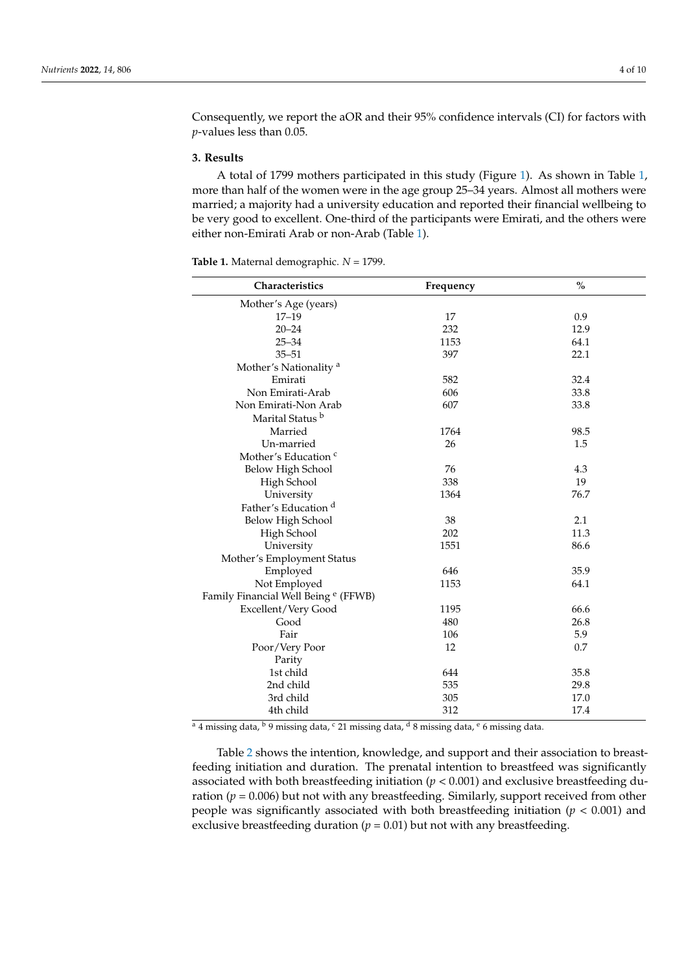Consequently, we report the aOR and their 95% confidence intervals (CI) for factors with *p*-values less than 0.05.

#### **3. Results**

A total of 1799 mothers participated in this study (Figure [1\)](#page-3-0). As shown in Table [1,](#page-4-0) more than half of the women were in the age group 25–34 years. Almost all mothers were married; a majority had a university education and reported their financial wellbeing to be very good to excellent. One-third of the participants were Emirati, and the others were either non-Emirati Arab or non-Arab (Table [1\)](#page-4-0).

<span id="page-4-0"></span>**Table 1.** Maternal demographic. *N* = 1799.

| Characteristics                                 | Frequency | $\%$ |
|-------------------------------------------------|-----------|------|
| Mother's Age (years)                            |           |      |
| $17 - 19$                                       | 17        | 0.9  |
| $20 - 24$                                       | 232       | 12.9 |
| $25 - 34$                                       | 1153      | 64.1 |
| $35 - 51$                                       | 397       | 22.1 |
| Mother's Nationality <sup>a</sup>               |           |      |
| Emirati                                         | 582       | 32.4 |
| Non Emirati-Arab                                | 606       | 33.8 |
| Non Emirati-Non Arab                            | 607       | 33.8 |
| Marital Status <sup>b</sup>                     |           |      |
| Married                                         | 1764      | 98.5 |
| Un-married                                      | 26        | 1.5  |
| Mother's Education <sup>c</sup>                 |           |      |
| Below High School                               | 76        | 4.3  |
| High School                                     | 338       | 19   |
| University                                      | 1364      | 76.7 |
| Father's Education <sup>d</sup>                 |           |      |
| Below High School                               | 38        | 2.1  |
| High School                                     | 202       | 11.3 |
| University                                      | 1551      | 86.6 |
| Mother's Employment Status                      |           |      |
| Employed                                        | 646       | 35.9 |
| Not Employed                                    | 1153      | 64.1 |
| Family Financial Well Being <sup>e</sup> (FFWB) |           |      |
| Excellent/Very Good                             | 1195      | 66.6 |
| Good                                            | 480       | 26.8 |
| Fair                                            | 106       | 5.9  |
| Poor/Very Poor                                  | 12        | 0.7  |
| Parity                                          |           |      |
| 1st child                                       | 644       | 35.8 |
| 2nd child                                       | 535       | 29.8 |
| 3rd child                                       | 305       | 17.0 |
| 4th child                                       | 312       | 17.4 |

 $a$  4 missing data,  $b$  9 missing data,  $c$  21 missing data,  $d$  8 missing data,  $e$  6 missing data.

Table [2](#page-5-0) shows the intention, knowledge, and support and their association to breastfeeding initiation and duration. The prenatal intention to breastfeed was significantly associated with both breastfeeding initiation  $(p < 0.001)$  and exclusive breastfeeding duration ( $p = 0.006$ ) but not with any breastfeeding. Similarly, support received from other people was significantly associated with both breastfeeding initiation (*p* < 0.001) and exclusive breastfeeding duration ( $p = 0.01$ ) but not with any breastfeeding.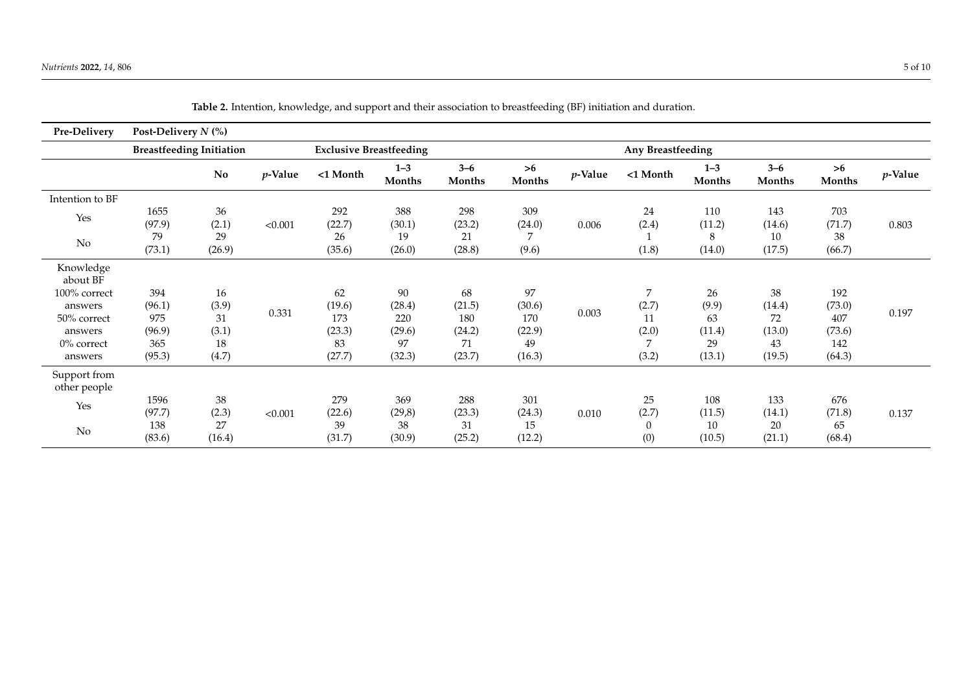<span id="page-5-0"></span>

| Pre-Delivery                 | Post-Delivery $N$ (%)           |                |            |                                |                   |                   |               |            |             |                   |                   |               |            |
|------------------------------|---------------------------------|----------------|------------|--------------------------------|-------------------|-------------------|---------------|------------|-------------|-------------------|-------------------|---------------|------------|
|                              | <b>Breastfeeding Initiation</b> |                |            | <b>Exclusive Breastfeeding</b> |                   | Any Breastfeeding |               |            |             |                   |                   |               |            |
|                              |                                 | N <sub>0</sub> | $p$ -Value | <1 Month                       | $1 - 3$<br>Months | $3 - 6$<br>Months | >6<br>Months  | $p$ -Value | <1 Month    | $1 - 3$<br>Months | $3 - 6$<br>Months | >6<br>Months  | $p$ -Value |
| Intention to BF              |                                 |                |            |                                |                   |                   |               |            |             |                   |                   |               |            |
| Yes                          | 1655<br>(97.9)                  | 36<br>(2.1)    | < 0.001    | 292<br>(22.7)                  | 388<br>(30.1)     | 298<br>(23.2)     | 309<br>(24.0) | 0.006      | 24<br>(2.4) | 110<br>(11.2)     | 143<br>(14.6)     | 703<br>(71.7) | 0.803      |
| $\rm No$                     | 79<br>(73.1)                    | 29<br>(26.9)   |            | 26<br>(35.6)                   | 19<br>(26.0)      | 21<br>(28.8)      | 7<br>(9.6)    |            | (1.8)       | 8<br>(14.0)       | 10<br>(17.5)      | 38<br>(66.7)  |            |
| Knowledge<br>about BF        |                                 |                |            |                                |                   |                   |               |            |             |                   |                   |               |            |
| 100% correct                 | 394                             | 16             |            | 62                             | 90                | 68                | 97            | 0.003      | 7           | 26                | 38                | 192           | 0.197      |
| answers                      | (96.1)                          | (3.9)          | 0.331      | (19.6)                         | (28.4)            | (21.5)            | (30.6)        |            | (2.7)       | (9.9)             | (14.4)            | (73.0)        |            |
| 50% correct                  | 975                             | 31             |            | 173                            | 220               | 180               | 170           |            | 11          | 63                | 72                | 407           |            |
| answers                      | (96.9)                          | (3.1)          |            | (23.3)                         | (29.6)            | (24.2)            | (22.9)        |            | (2.0)       | (11.4)            | (13.0)            | (73.6)        |            |
| 0% correct                   | 365                             | 18             |            | 83                             | 97                | 71                | 49            |            | 7           | 29                | 43                | 142           |            |
| answers                      | (95.3)                          | (4.7)          |            | (27.7)                         | (32.3)            | (23.7)            | (16.3)        |            | (3.2)       | (13.1)            | (19.5)            | (64.3)        |            |
| Support from<br>other people |                                 |                |            |                                |                   |                   |               |            |             |                   |                   |               |            |
|                              | 1596                            | 38             |            | 279                            | 369               | 288               | 301           |            | 25          | 108               | 133               | 676           |            |
| Yes                          | (97.7)                          | (2.3)          | < 0.001    | (22.6)                         | (29,8)            | (23.3)            | (24.3)        | 0.010      | (2.7)       | (11.5)            | (14.1)            | (71.8)        | 0.137      |
| No                           | 138                             | 27             |            | 39                             | 38                | 31                | 15            |            | $\theta$    | 10                | 20                | 65            |            |
|                              | (83.6)                          | (16.4)         |            | (31.7)                         | (30.9)            | (25.2)            | (12.2)        |            | (0)         | (10.5)            | (21.1)            | (68.4)        |            |

**Table 2.** Intention, knowledge, and support and their association to breastfeeding (BF) initiation and duration.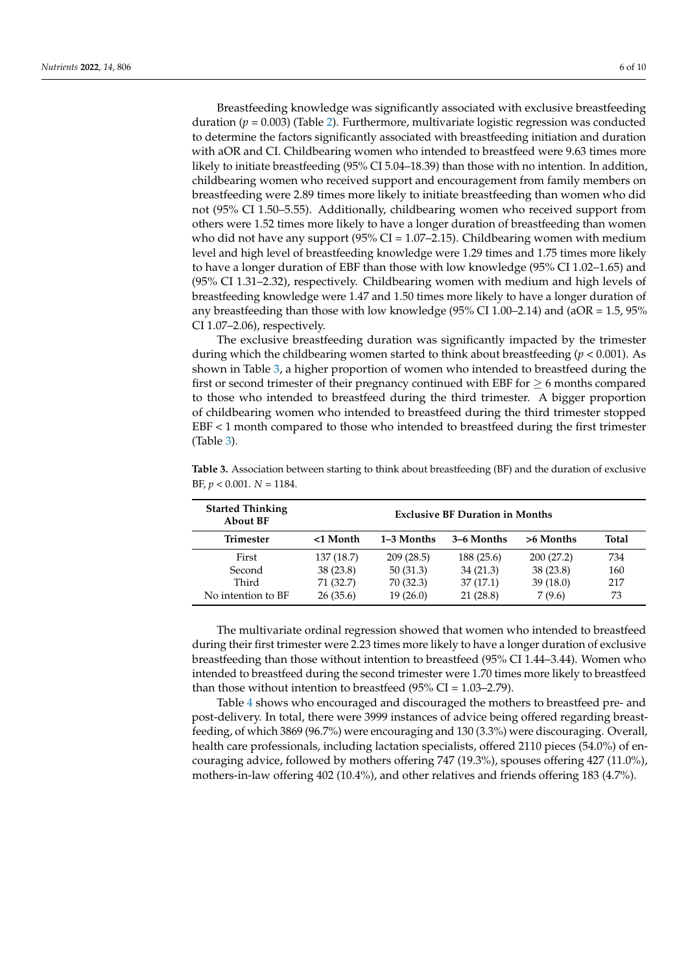Breastfeeding knowledge was significantly associated with exclusive breastfeeding duration  $(p = 0.003)$  (Table [2\)](#page-5-0). Furthermore, multivariate logistic regression was conducted to determine the factors significantly associated with breastfeeding initiation and duration with aOR and CI. Childbearing women who intended to breastfeed were 9.63 times more likely to initiate breastfeeding (95% CI 5.04–18.39) than those with no intention. In addition, childbearing women who received support and encouragement from family members on breastfeeding were 2.89 times more likely to initiate breastfeeding than women who did not (95% CI 1.50–5.55). Additionally, childbearing women who received support from others were 1.52 times more likely to have a longer duration of breastfeeding than women who did not have any support  $(95\% \text{ CI} = 1.07-2.15)$ . Childbearing women with medium level and high level of breastfeeding knowledge were 1.29 times and 1.75 times more likely to have a longer duration of EBF than those with low knowledge (95% CI 1.02–1.65) and (95% CI 1.31–2.32), respectively. Childbearing women with medium and high levels of breastfeeding knowledge were 1.47 and 1.50 times more likely to have a longer duration of any breastfeeding than those with low knowledge (95% CI 1.00–2.14) and ( $aOR = 1.5$ , 95% CI 1.07–2.06), respectively.

The exclusive breastfeeding duration was significantly impacted by the trimester during which the childbearing women started to think about breastfeeding (*p* < 0.001). As shown in Table [3,](#page-6-0) a higher proportion of women who intended to breastfeed during the first or second trimester of their pregnancy continued with EBF for  $\geq 6$  months compared to those who intended to breastfeed during the third trimester. A bigger proportion of childbearing women who intended to breastfeed during the third trimester stopped EBF < 1 month compared to those who intended to breastfeed during the first trimester (Table [3\)](#page-6-0).

| <b>Started Thinking</b><br><b>About BF</b> | <b>Exclusive BF Duration in Months</b> |            |            |           |       |  |
|--------------------------------------------|----------------------------------------|------------|------------|-----------|-------|--|
| <b>Trimester</b>                           | <1 Month                               | 1–3 Months | 3–6 Months | >6 Months | Total |  |
| First                                      | 137 (18.7)                             | 209(28.5)  | 188(25.6)  | 200(27.2) | 734   |  |
| Second                                     | 38(23.8)                               | 50(31.3)   | 34(21.3)   | 38(23.8)  | 160   |  |
| Third                                      | 71 (32.7)                              | 70(32.3)   | 37(17.1)   | 39(18.0)  | 217   |  |
| No intention to BF                         | 26(35.6)                               | 19(26.0)   | 21 (28.8)  | 7(9.6)    | 73    |  |

<span id="page-6-0"></span>**Table 3.** Association between starting to think about breastfeeding (BF) and the duration of exclusive BF, *p* < 0.001. *N* = 1184.

The multivariate ordinal regression showed that women who intended to breastfeed during their first trimester were 2.23 times more likely to have a longer duration of exclusive breastfeeding than those without intention to breastfeed (95% CI 1.44–3.44). Women who intended to breastfeed during the second trimester were 1.70 times more likely to breastfeed than those without intention to breastfeed  $(95\% \text{ CI} = 1.03-2.79)$ .

Table [4](#page-7-0) shows who encouraged and discouraged the mothers to breastfeed pre- and post-delivery. In total, there were 3999 instances of advice being offered regarding breastfeeding, of which 3869 (96.7%) were encouraging and 130 (3.3%) were discouraging. Overall, health care professionals, including lactation specialists, offered 2110 pieces (54.0%) of encouraging advice, followed by mothers offering 747 (19.3%), spouses offering 427 (11.0%), mothers-in-law offering 402 (10.4%), and other relatives and friends offering 183 (4.7%).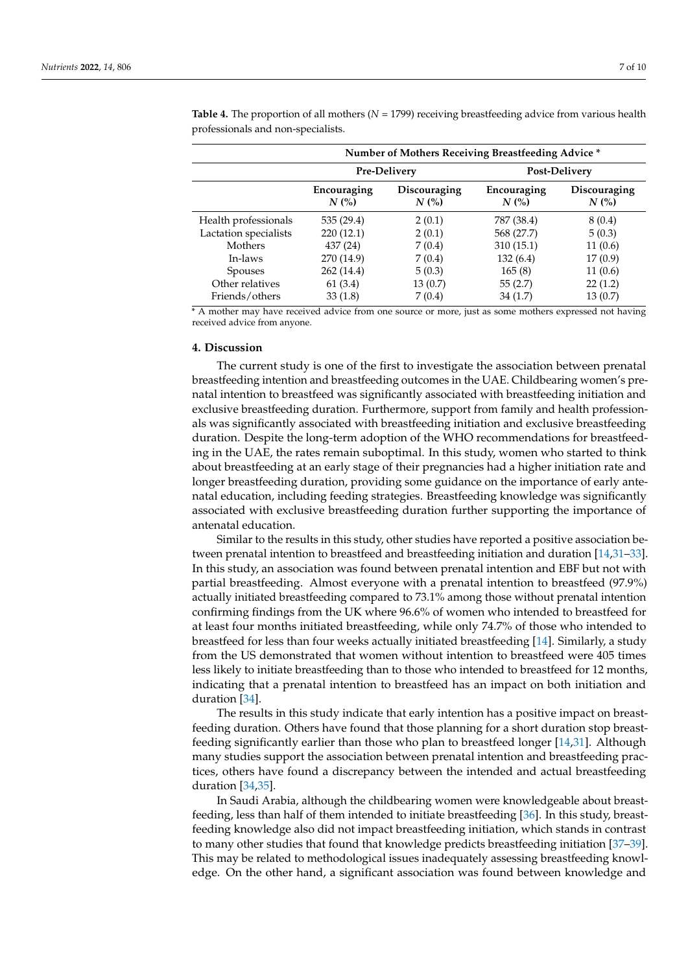|                       | <b>Number of Mothers Receiving Breastfeeding Advice *</b> |                         |                        |                         |  |  |  |
|-----------------------|-----------------------------------------------------------|-------------------------|------------------------|-------------------------|--|--|--|
|                       |                                                           | Pre-Delivery            | Post-Delivery          |                         |  |  |  |
|                       | Encouraging<br>N(%)                                       | Discouraging<br>$N$ (%) | Encouraging<br>$N$ (%) | Discouraging<br>$N$ (%) |  |  |  |
| Health professionals  | 535 (29.4)                                                | 2(0.1)                  | 787 (38.4)             | 8(0.4)                  |  |  |  |
| Lactation specialists | 220(12.1)                                                 | 2(0.1)                  | 568 (27.7)             | 5(0.3)                  |  |  |  |
| Mothers               | 437 (24)                                                  | 7(0.4)                  | 310(15.1)              | 11(0.6)                 |  |  |  |
| In-laws               | 270 (14.9)                                                | 7(0.4)                  | 132(6.4)               | 17(0.9)                 |  |  |  |
| <b>Spouses</b>        | 262 (14.4)                                                | 5(0.3)                  | 165(8)                 | 11(0.6)                 |  |  |  |
| Other relatives       | 61(3.4)                                                   | 13(0.7)                 | 55(2.7)                | 22(1.2)                 |  |  |  |
| Friends/others        | 33(1.8)                                                   | 7(0.4)                  | 34(1.7)                | 13 (0.7)                |  |  |  |

<span id="page-7-0"></span>**Table 4.** The proportion of all mothers (*N* = 1799) receiving breastfeeding advice from various health professionals and non-specialists.

\* A mother may have received advice from one source or more, just as some mothers expressed not having received advice from anyone.

## **4. Discussion**

The current study is one of the first to investigate the association between prenatal breastfeeding intention and breastfeeding outcomes in the UAE. Childbearing women's prenatal intention to breastfeed was significantly associated with breastfeeding initiation and exclusive breastfeeding duration. Furthermore, support from family and health professionals was significantly associated with breastfeeding initiation and exclusive breastfeeding duration. Despite the long-term adoption of the WHO recommendations for breastfeeding in the UAE, the rates remain suboptimal. In this study, women who started to think about breastfeeding at an early stage of their pregnancies had a higher initiation rate and longer breastfeeding duration, providing some guidance on the importance of early antenatal education, including feeding strategies. Breastfeeding knowledge was significantly associated with exclusive breastfeeding duration further supporting the importance of antenatal education.

Similar to the results in this study, other studies have reported a positive association between prenatal intention to breastfeed and breastfeeding initiation and duration [\[14](#page-9-9)[,31](#page-10-10)[–33\]](#page-10-11). In this study, an association was found between prenatal intention and EBF but not with partial breastfeeding. Almost everyone with a prenatal intention to breastfeed (97.9%) actually initiated breastfeeding compared to 73.1% among those without prenatal intention confirming findings from the UK where 96.6% of women who intended to breastfeed for at least four months initiated breastfeeding, while only 74.7% of those who intended to breastfeed for less than four weeks actually initiated breastfeeding [\[14\]](#page-9-9). Similarly, a study from the US demonstrated that women without intention to breastfeed were 405 times less likely to initiate breastfeeding than to those who intended to breastfeed for 12 months, indicating that a prenatal intention to breastfeed has an impact on both initiation and duration [\[34\]](#page-10-12).

The results in this study indicate that early intention has a positive impact on breastfeeding duration. Others have found that those planning for a short duration stop breastfeeding significantly earlier than those who plan to breastfeed longer [\[14,](#page-9-9)[31\]](#page-10-10). Although many studies support the association between prenatal intention and breastfeeding practices, others have found a discrepancy between the intended and actual breastfeeding duration [\[34,](#page-10-12)[35\]](#page-10-13).

In Saudi Arabia, although the childbearing women were knowledgeable about breastfeeding, less than half of them intended to initiate breastfeeding [\[36\]](#page-10-14). In this study, breastfeeding knowledge also did not impact breastfeeding initiation, which stands in contrast to many other studies that found that knowledge predicts breastfeeding initiation [\[37](#page-10-15)-39]. This may be related to methodological issues inadequately assessing breastfeeding knowledge. On the other hand, a significant association was found between knowledge and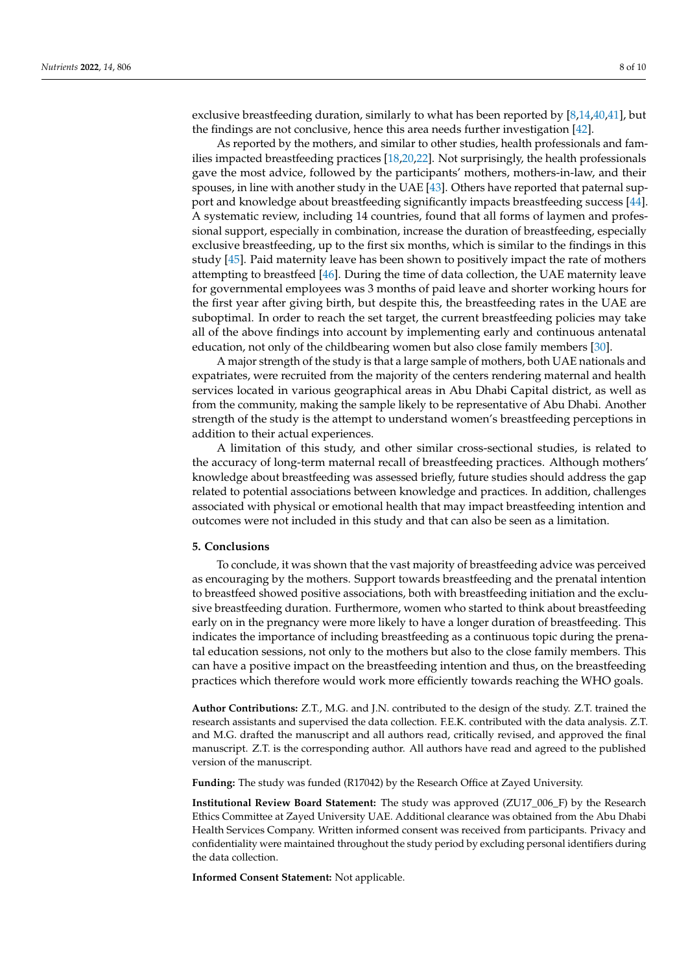As reported by the mothers, and similar to other studies, health professionals and families impacted breastfeeding practices [\[18,](#page-9-14)[20,](#page-10-20)[22\]](#page-10-1). Not surprisingly, the health professionals gave the most advice, followed by the participants' mothers, mothers-in-law, and their spouses, in line with another study in the UAE [\[43\]](#page-10-21). Others have reported that paternal support and knowledge about breastfeeding significantly impacts breastfeeding success [\[44\]](#page-10-22). A systematic review, including 14 countries, found that all forms of laymen and professional support, especially in combination, increase the duration of breastfeeding, especially exclusive breastfeeding, up to the first six months, which is similar to the findings in this study [\[45\]](#page-10-23). Paid maternity leave has been shown to positively impact the rate of mothers attempting to breastfeed [\[46\]](#page-10-24). During the time of data collection, the UAE maternity leave for governmental employees was 3 months of paid leave and shorter working hours for the first year after giving birth, but despite this, the breastfeeding rates in the UAE are suboptimal. In order to reach the set target, the current breastfeeding policies may take all of the above findings into account by implementing early and continuous antenatal education, not only of the childbearing women but also close family members [\[30\]](#page-10-9).

A major strength of the study is that a large sample of mothers, both UAE nationals and expatriates, were recruited from the majority of the centers rendering maternal and health services located in various geographical areas in Abu Dhabi Capital district, as well as from the community, making the sample likely to be representative of Abu Dhabi. Another strength of the study is the attempt to understand women's breastfeeding perceptions in addition to their actual experiences.

A limitation of this study, and other similar cross-sectional studies, is related to the accuracy of long-term maternal recall of breastfeeding practices. Although mothers' knowledge about breastfeeding was assessed briefly, future studies should address the gap related to potential associations between knowledge and practices. In addition, challenges associated with physical or emotional health that may impact breastfeeding intention and outcomes were not included in this study and that can also be seen as a limitation.

### **5. Conclusions**

To conclude, it was shown that the vast majority of breastfeeding advice was perceived as encouraging by the mothers. Support towards breastfeeding and the prenatal intention to breastfeed showed positive associations, both with breastfeeding initiation and the exclusive breastfeeding duration. Furthermore, women who started to think about breastfeeding early on in the pregnancy were more likely to have a longer duration of breastfeeding. This indicates the importance of including breastfeeding as a continuous topic during the prenatal education sessions, not only to the mothers but also to the close family members. This can have a positive impact on the breastfeeding intention and thus, on the breastfeeding practices which therefore would work more efficiently towards reaching the WHO goals.

**Author Contributions:** Z.T., M.G. and J.N. contributed to the design of the study. Z.T. trained the research assistants and supervised the data collection. F.E.K. contributed with the data analysis. Z.T. and M.G. drafted the manuscript and all authors read, critically revised, and approved the final manuscript. Z.T. is the corresponding author. All authors have read and agreed to the published version of the manuscript.

**Funding:** The study was funded (R17042) by the Research Office at Zayed University.

**Institutional Review Board Statement:** The study was approved (ZU17\_006\_F) by the Research Ethics Committee at Zayed University UAE. Additional clearance was obtained from the Abu Dhabi Health Services Company. Written informed consent was received from participants. Privacy and confidentiality were maintained throughout the study period by excluding personal identifiers during the data collection.

**Informed Consent Statement:** Not applicable.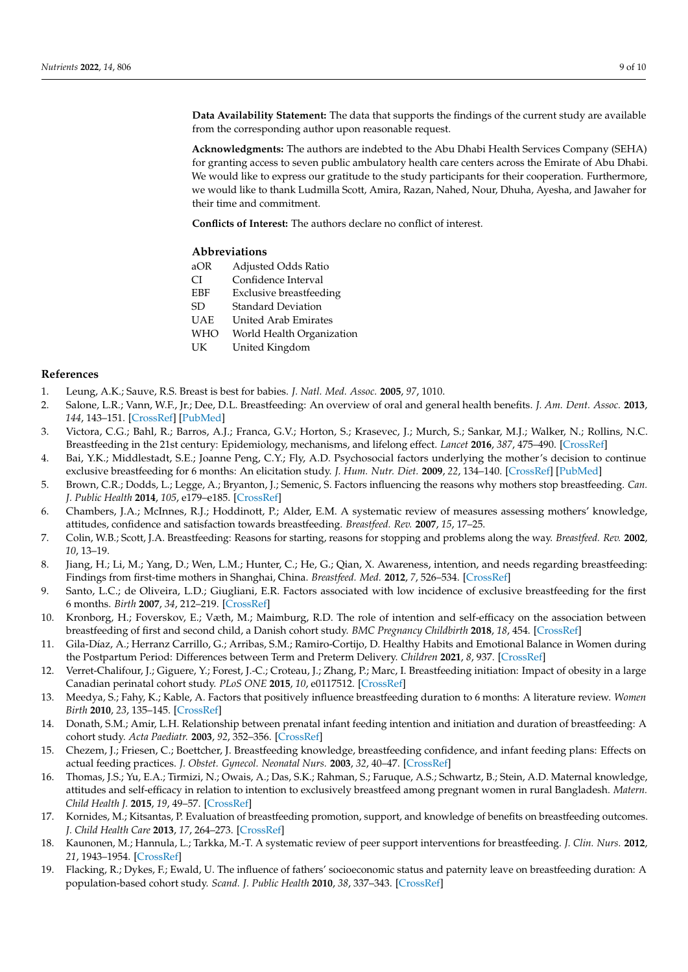**Data Availability Statement:** The data that supports the findings of the current study are available from the corresponding author upon reasonable request.

**Acknowledgments:** The authors are indebted to the Abu Dhabi Health Services Company (SEHA) for granting access to seven public ambulatory health care centers across the Emirate of Abu Dhabi. We would like to express our gratitude to the study participants for their cooperation. Furthermore, we would like to thank Ludmilla Scott, Amira, Razan, Nahed, Nour, Dhuha, Ayesha, and Jawaher for their time and commitment.

**Conflicts of Interest:** The authors declare no conflict of interest.

#### **Abbreviations**

- aOR Adjusted Odds Ratio
- CI Confidence Interval
- EBF Exclusive breastfeeding
- SD Standard Deviation
- UAE United Arab Emirates
- WHO World Health Organization
- UK United Kingdom

### **References**

- <span id="page-9-0"></span>1. Leung, A.K.; Sauve, R.S. Breast is best for babies. *J. Natl. Med. Assoc.* **2005**, *97*, 1010.
- <span id="page-9-1"></span>2. Salone, L.R.; Vann, W.F., Jr.; Dee, D.L. Breastfeeding: An overview of oral and general health benefits. *J. Am. Dent. Assoc.* **2013**, *144*, 143–151. [\[CrossRef\]](http://doi.org/10.14219/jada.archive.2013.0093) [\[PubMed\]](http://www.ncbi.nlm.nih.gov/pubmed/23372130)
- <span id="page-9-2"></span>3. Victora, C.G.; Bahl, R.; Barros, A.J.; Franca, G.V.; Horton, S.; Krasevec, J.; Murch, S.; Sankar, M.J.; Walker, N.; Rollins, N.C. Breastfeeding in the 21st century: Epidemiology, mechanisms, and lifelong effect. *Lancet* **2016**, *387*, 475–490. [\[CrossRef\]](http://doi.org/10.1016/S0140-6736(15)01024-7)
- <span id="page-9-3"></span>4. Bai, Y.K.; Middlestadt, S.E.; Joanne Peng, C.Y.; Fly, A.D. Psychosocial factors underlying the mother's decision to continue exclusive breastfeeding for 6 months: An elicitation study. *J. Hum. Nutr. Diet.* **2009**, *22*, 134–140. [\[CrossRef\]](http://doi.org/10.1111/j.1365-277X.2009.00950.x) [\[PubMed\]](http://www.ncbi.nlm.nih.gov/pubmed/19302118)
- <span id="page-9-4"></span>5. Brown, C.R.; Dodds, L.; Legge, A.; Bryanton, J.; Semenic, S. Factors influencing the reasons why mothers stop breastfeeding. *Can. J. Public Health* **2014**, *105*, e179–e185. [\[CrossRef\]](http://doi.org/10.17269/cjph.105.4244)
- <span id="page-9-11"></span>6. Chambers, J.A.; McInnes, R.J.; Hoddinott, P.; Alder, E.M. A systematic review of measures assessing mothers' knowledge, attitudes, confidence and satisfaction towards breastfeeding. *Breastfeed. Rev.* **2007**, *15*, 17–25.
- 7. Colin, W.B.; Scott, J.A. Breastfeeding: Reasons for starting, reasons for stopping and problems along the way. *Breastfeed. Rev.* **2002**, *10*, 13–19.
- <span id="page-9-16"></span>8. Jiang, H.; Li, M.; Yang, D.; Wen, L.M.; Hunter, C.; He, G.; Qian, X. Awareness, intention, and needs regarding breastfeeding: Findings from first-time mothers in Shanghai, China. *Breastfeed. Med.* **2012**, *7*, 526–534. [\[CrossRef\]](http://doi.org/10.1089/bfm.2011.0124)
- <span id="page-9-5"></span>9. Santo, L.C.; de Oliveira, L.D.; Giugliani, E.R. Factors associated with low incidence of exclusive breastfeeding for the first 6 months. *Birth* **2007**, *34*, 212–219. [\[CrossRef\]](http://doi.org/10.1111/j.1523-536X.2007.00173.x)
- <span id="page-9-6"></span>10. Kronborg, H.; Foverskov, E.; Væth, M.; Maimburg, R.D. The role of intention and self-efficacy on the association between breastfeeding of first and second child, a Danish cohort study. *BMC Pregnancy Childbirth* **2018**, *18*, 454. [\[CrossRef\]](http://doi.org/10.1186/s12884-018-2086-5)
- <span id="page-9-7"></span>11. Gila-Díaz, A.; Herranz Carrillo, G.; Arribas, S.M.; Ramiro-Cortijo, D. Healthy Habits and Emotional Balance in Women during the Postpartum Period: Differences between Term and Preterm Delivery. *Children* **2021**, *8*, 937. [\[CrossRef\]](http://doi.org/10.3390/children8100937)
- <span id="page-9-8"></span>12. Verret-Chalifour, J.; Giguere, Y.; Forest, J.-C.; Croteau, J.; Zhang, P.; Marc, I. Breastfeeding initiation: Impact of obesity in a large Canadian perinatal cohort study. *PLoS ONE* **2015**, *10*, e0117512. [\[CrossRef\]](http://doi.org/10.1371/journal.pone.0117512)
- 13. Meedya, S.; Fahy, K.; Kable, A. Factors that positively influence breastfeeding duration to 6 months: A literature review. *Women Birth* **2010**, *23*, 135–145. [\[CrossRef\]](http://doi.org/10.1016/j.wombi.2010.02.002)
- <span id="page-9-9"></span>14. Donath, S.M.; Amir, L.H. Relationship between prenatal infant feeding intention and initiation and duration of breastfeeding: A cohort study. *Acta Paediatr.* **2003**, *92*, 352–356. [\[CrossRef\]](http://doi.org/10.1111/j.1651-2227.2003.tb00558.x)
- <span id="page-9-10"></span>15. Chezem, J.; Friesen, C.; Boettcher, J. Breastfeeding knowledge, breastfeeding confidence, and infant feeding plans: Effects on actual feeding practices. *J. Obstet. Gynecol. Neonatal Nurs.* **2003**, *32*, 40–47. [\[CrossRef\]](http://doi.org/10.1177/0884217502239799)
- <span id="page-9-12"></span>16. Thomas, J.S.; Yu, E.A.; Tirmizi, N.; Owais, A.; Das, S.K.; Rahman, S.; Faruque, A.S.; Schwartz, B.; Stein, A.D. Maternal knowledge, attitudes and self-efficacy in relation to intention to exclusively breastfeed among pregnant women in rural Bangladesh. *Matern. Child Health J.* **2015**, *19*, 49–57. [\[CrossRef\]](http://doi.org/10.1007/s10995-014-1494-z)
- <span id="page-9-13"></span>17. Kornides, M.; Kitsantas, P. Evaluation of breastfeeding promotion, support, and knowledge of benefits on breastfeeding outcomes. *J. Child Health Care* **2013**, *17*, 264–273. [\[CrossRef\]](http://doi.org/10.1177/1367493512461460)
- <span id="page-9-14"></span>18. Kaunonen, M.; Hannula, L.; Tarkka, M.-T. A systematic review of peer support interventions for breastfeeding. *J. Clin. Nurs.* **2012**, *21*, 1943–1954. [\[CrossRef\]](http://doi.org/10.1111/jocn.12023)
- <span id="page-9-15"></span>19. Flacking, R.; Dykes, F.; Ewald, U. The influence of fathers' socioeconomic status and paternity leave on breastfeeding duration: A population-based cohort study. *Scand. J. Public Health* **2010**, *38*, 337–343. [\[CrossRef\]](http://doi.org/10.1177/1403494810362002)